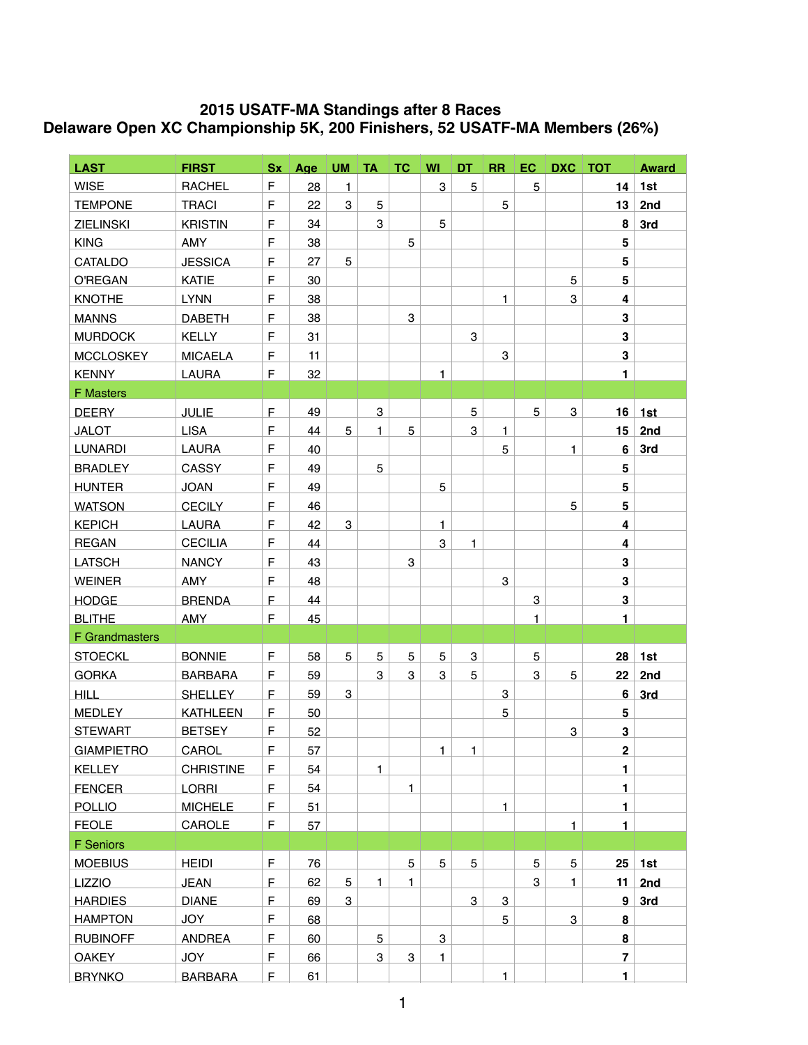## **2015 USATF-MA Standings after 8 Races Delaware Open XC Championship 5K, 200 Finishers, 52 USATF-MA Members (26%)**

| <b>LAST</b>           | <b>FIRST</b>     |              | Sx Age |   |              | UM TA TC WI  |              | DT           | RR           |                           |              | EC DXC TOT              | <b>Award</b> |
|-----------------------|------------------|--------------|--------|---|--------------|--------------|--------------|--------------|--------------|---------------------------|--------------|-------------------------|--------------|
| <b>WISE</b>           | <b>RACHEL</b>    | $\mathsf F$  | 28     | 1 |              |              | $\mathbf{3}$ | 5            |              | 5                         |              | 14                      | 1st          |
| <b>TEMPONE</b>        | <b>TRACI</b>     | $\mathsf F$  | 22     | 3 | 5            |              |              |              | 5            |                           |              | 13                      | 2nd          |
| <b>ZIELINSKI</b>      | <b>KRISTIN</b>   | $\mathsf F$  | 34     |   | 3            |              | $\mathbf 5$  |              |              |                           |              | 8                       | 3rd          |
| <b>KING</b>           | AMY              | F            | 38     |   |              | 5            |              |              |              |                           |              | 5                       |              |
| CATALDO               | <b>JESSICA</b>   | F            | 27     | 5 |              |              |              |              |              |                           |              | 5                       |              |
| <b>O'REGAN</b>        | <b>KATIE</b>     | $\mathsf F$  | 30     |   |              |              |              |              |              |                           | 5            | 5                       |              |
| <b>KNOTHE</b>         | <b>LYNN</b>      | $\mathsf F$  | 38     |   |              |              |              |              | 1            |                           | 3            | 4                       |              |
| <b>MANNS</b>          | <b>DABETH</b>    | F            | 38     |   |              | 3            |              |              |              |                           |              | 3                       |              |
| <b>MURDOCK</b>        | <b>KELLY</b>     | F            | 31     |   |              |              |              | 3            |              |                           |              | 3                       |              |
| <b>MCCLOSKEY</b>      | <b>MICAELA</b>   | F            | 11     |   |              |              |              |              | 3            |                           |              | 3                       |              |
| <b>KENNY</b>          | LAURA            | $\mathsf F$  | 32     |   |              |              | $\mathbf{1}$ |              |              |                           |              | $\blacksquare$          |              |
| <b>F Masters</b>      |                  |              |        |   |              |              |              |              |              |                           |              |                         |              |
| <b>DEERY</b>          | <b>JULIE</b>     | $\mathsf F$  | 49     |   | 3            |              |              | 5            |              | 5                         | 3            | 16                      | 1st          |
| <b>JALOT</b>          | <b>LISA</b>      | $\mathsf F$  | 44     | 5 | $\mathbf{1}$ | 5            |              | 3            | $\mathbf{1}$ |                           |              | 15                      | 2nd          |
| <b>LUNARDI</b>        | LAURA            | F            | 40     |   |              |              |              |              | 5            |                           | 1            | 6                       | 3rd          |
| <b>BRADLEY</b>        | CASSY            | $\mathsf F$  | 49     |   | 5            |              |              |              |              |                           |              | 5                       |              |
| <b>HUNTER</b>         | <b>JOAN</b>      | $\mathsf F$  | 49     |   |              |              | $\mathbf 5$  |              |              |                           |              | 5                       |              |
| <b>WATSON</b>         | <b>CECILY</b>    | $\mathsf F$  | 46     |   |              |              |              |              |              |                           | 5            | 5                       |              |
| <b>KEPICH</b>         | <b>LAURA</b>     | $\mathsf F$  | 42     | 3 |              |              | $\mathbf{1}$ |              |              |                           |              | 4                       |              |
| <b>REGAN</b>          | <b>CECILIA</b>   | F            | 44     |   |              |              | 3            | 1            |              |                           |              | 4                       |              |
| <b>LATSCH</b>         | <b>NANCY</b>     | $\mathsf F$  | 43     |   |              | 3            |              |              |              |                           |              | 3                       |              |
| <b>WEINER</b>         | AMY              | $\mathsf F$  | 48     |   |              |              |              |              | 3            |                           |              | 3                       |              |
| <b>HODGE</b>          | <b>BRENDA</b>    | $\mathsf{F}$ | 44     |   |              |              |              |              |              | $\ensuremath{\mathsf{3}}$ |              | $\mathbf 3$             |              |
| <b>BLITHE</b>         | AMY              | $\mathsf F$  | 45     |   |              |              |              |              |              | $\mathbf{1}$              |              | $\blacksquare$          |              |
| <b>F</b> Grandmasters |                  |              |        |   |              |              |              |              |              |                           |              |                         |              |
| <b>STOECKL</b>        | <b>BONNIE</b>    | $\mathsf F$  | 58     | 5 | 5            | 5            | 5            | 3            |              | 5                         |              | 28                      | 1st          |
| <b>GORKA</b>          | <b>BARBARA</b>   | $\mathsf F$  | 59     |   | 3            | 3            | 3            | 5            |              | 3                         | 5            | 22                      | 2nd          |
| <b>HILL</b>           | <b>SHELLEY</b>   | $\mathsf F$  | 59     | 3 |              |              |              |              | 3            |                           |              | 6                       | 3rd          |
| <b>MEDLEY</b>         | <b>KATHLEEN</b>  | $\mathsf F$  | 50     |   |              |              |              |              | 5            |                           |              | 5                       |              |
| <b>STEWART</b>        | <b>BETSEY</b>    | F            | 52     |   |              |              |              |              |              |                           | 3            | 3                       |              |
| <b>GIAMPIETRO</b>     | CAROL            | $\mathsf{F}$ | 57     |   |              |              | $\mathbf{1}$ | $\mathbf{1}$ |              |                           |              | $\overline{\mathbf{2}}$ |              |
| <b>KELLEY</b>         | <b>CHRISTINE</b> | F            | 54     |   | $\mathbf{1}$ |              |              |              |              |                           |              | 1.                      |              |
| <b>FENCER</b>         | <b>LORRI</b>     | $\mathsf F$  | 54     |   |              | $\mathbf{1}$ |              |              |              |                           |              | $\blacksquare$          |              |
| <b>POLLIO</b>         | <b>MICHELE</b>   | $\mathsf F$  | 51     |   |              |              |              |              | 1            |                           |              | 1                       |              |
| <b>FEOLE</b>          | CAROLE           | F            | 57     |   |              |              |              |              |              |                           | $\mathbf{1}$ | $\blacksquare$          |              |
| F Seniors             |                  |              |        |   |              |              |              |              |              |                           |              |                         |              |
| <b>MOEBIUS</b>        | <b>HEIDI</b>     | $\mathsf F$  | 76     |   |              | 5            | 5            | 5            |              | 5                         | 5            | 25                      | 1st          |
| <b>LIZZIO</b>         | <b>JEAN</b>      | $\mathsf F$  | 62     | 5 | $\mathbf{1}$ | $\mathbf{1}$ |              |              |              | 3                         | $\mathbf{1}$ | 11                      | 2nd          |
| <b>HARDIES</b>        | <b>DIANE</b>     | $\mathsf F$  | 69     | 3 |              |              |              | 3            | 3            |                           |              | 9                       | 3rd          |
| <b>HAMPTON</b>        | <b>JOY</b>       | $\mathsf F$  | 68     |   |              |              |              |              | 5            |                           | 3            | 8                       |              |
| <b>RUBINOFF</b>       | <b>ANDREA</b>    | $\mathsf F$  | 60     |   | 5            |              | $\mathbf 3$  |              |              |                           |              | 8                       |              |
| <b>OAKEY</b>          | JOY              | $\mathsf F$  | 66     |   | 3            | 3            | 1            |              |              |                           |              | $\overline{\mathbf{r}}$ |              |
| <b>BRYNKO</b>         | <b>BARBARA</b>   | $\mathsf F$  | 61     |   |              |              |              |              | $\mathbf{1}$ |                           |              | $\blacksquare$          |              |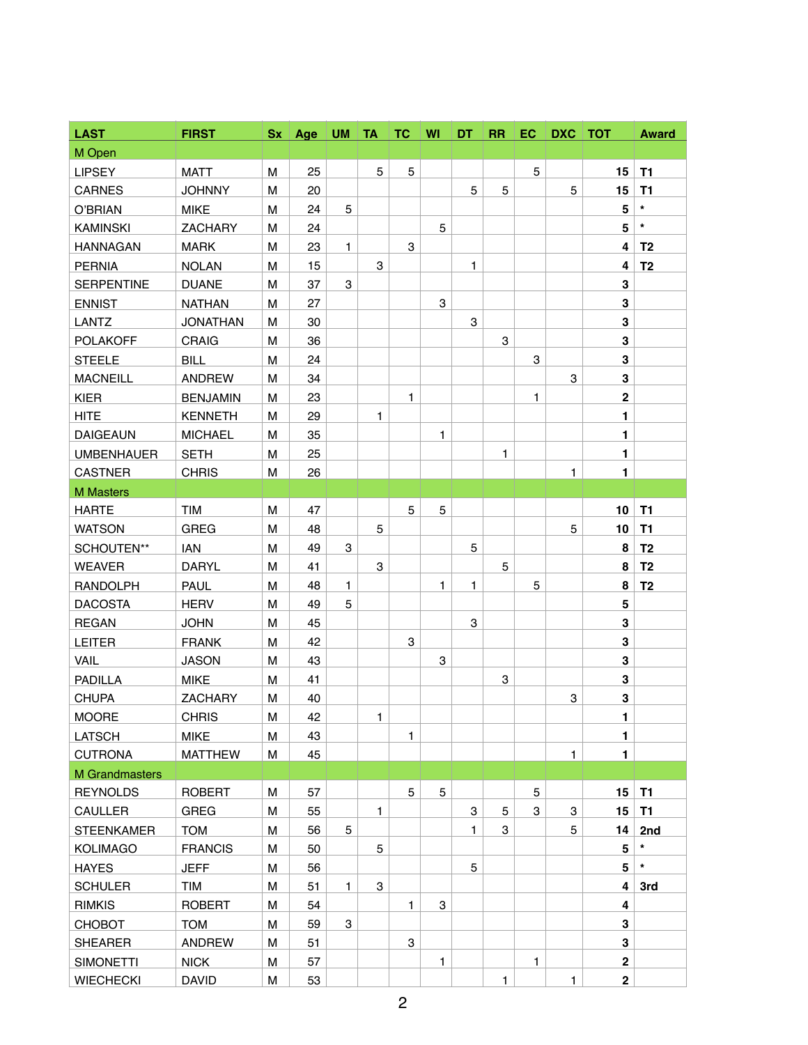| <b>LAST</b>           | <b>FIRST</b>    | Sx | Age | <b>UM</b>    | <b>TA</b>    | <b>TC</b>    | WI           | DT | <b>RR</b> | EC. | DXC   TOT    |                         | <b>Award</b>   |
|-----------------------|-----------------|----|-----|--------------|--------------|--------------|--------------|----|-----------|-----|--------------|-------------------------|----------------|
| M Open                |                 |    |     |              |              |              |              |    |           |     |              |                         |                |
| <b>LIPSEY</b>         | <b>MATT</b>     | M  | 25  |              | 5            | 5            |              |    |           | 5   |              | 15                      | T <sub>1</sub> |
| <b>CARNES</b>         | <b>JOHNNY</b>   | M  | 20  |              |              |              |              | 5  | 5         |     | 5            | 15                      | T1             |
| O'BRIAN               | <b>MIKE</b>     | M  | 24  | 5            |              |              |              |    |           |     |              | 5                       | $\star$        |
| <b>KAMINSKI</b>       | <b>ZACHARY</b>  | M  | 24  |              |              |              | 5            |    |           |     |              | 5                       | $\star$        |
| <b>HANNAGAN</b>       | <b>MARK</b>     | M  | 23  | $\mathbf{1}$ |              | 3            |              |    |           |     |              | 4                       | T <sub>2</sub> |
| <b>PERNIA</b>         | <b>NOLAN</b>    | M  | 15  |              | 3            |              |              | 1  |           |     |              | 4                       | T <sub>2</sub> |
| <b>SERPENTINE</b>     | <b>DUANE</b>    | M  | 37  | 3            |              |              |              |    |           |     |              | 3                       |                |
| <b>ENNIST</b>         | <b>NATHAN</b>   | M  | 27  |              |              |              | 3            |    |           |     |              | 3                       |                |
| <b>LANTZ</b>          | <b>JONATHAN</b> | M  | 30  |              |              |              |              | 3  |           |     |              | 3                       |                |
| <b>POLAKOFF</b>       | <b>CRAIG</b>    | M  | 36  |              |              |              |              |    | 3         |     |              | 3                       |                |
| <b>STEELE</b>         | <b>BILL</b>     | M  | 24  |              |              |              |              |    |           | 3   |              | 3                       |                |
| <b>MACNEILL</b>       | <b>ANDREW</b>   | M  | 34  |              |              |              |              |    |           |     | 3            | 3                       |                |
| <b>KIER</b>           | <b>BENJAMIN</b> | M  | 23  |              |              | 1            |              |    |           | 1   |              | $\mathbf 2$             |                |
| <b>HITE</b>           | <b>KENNETH</b>  | M  | 29  |              | 1            |              |              |    |           |     |              | 1                       |                |
| <b>DAIGEAUN</b>       | <b>MICHAEL</b>  | M  | 35  |              |              |              | $\mathbf{1}$ |    |           |     |              | 1                       |                |
| <b>UMBENHAUER</b>     | <b>SETH</b>     | M  | 25  |              |              |              |              |    | 1         |     |              | $\blacksquare$          |                |
| <b>CASTNER</b>        | <b>CHRIS</b>    | M  | 26  |              |              |              |              |    |           |     | 1            | $\blacksquare$          |                |
| <b>M</b> Masters      |                 |    |     |              |              |              |              |    |           |     |              |                         |                |
| <b>HARTE</b>          | <b>TIM</b>      | M  | 47  |              |              | 5            | 5            |    |           |     |              | 10                      | T1             |
| <b>WATSON</b>         | GREG            | M  | 48  |              | 5            |              |              |    |           |     | 5            | 10                      | T1             |
| SCHOUTEN**            | <b>IAN</b>      | M  | 49  | 3            |              |              |              | 5  |           |     |              | 8                       | T <sub>2</sub> |
| <b>WEAVER</b>         | <b>DARYL</b>    | M  | 41  |              | 3            |              |              |    | 5         |     |              | 8                       | T <sub>2</sub> |
| <b>RANDOLPH</b>       | <b>PAUL</b>     | M  | 48  | $\mathbf{1}$ |              |              | 1            | 1  |           | 5   |              | 8                       | T <sub>2</sub> |
| <b>DACOSTA</b>        | <b>HERV</b>     | M  | 49  | 5            |              |              |              |    |           |     |              | 5                       |                |
| <b>REGAN</b>          | <b>JOHN</b>     | M  | 45  |              |              |              |              | 3  |           |     |              | 3                       |                |
| LEITER                | <b>FRANK</b>    | M  | 42  |              |              | 3            |              |    |           |     |              | 3                       |                |
| <b>VAIL</b>           | <b>JASON</b>    | M  | 43  |              |              |              | 3            |    |           |     |              | 3                       |                |
| <b>PADILLA</b>        | <b>MIKE</b>     | M  | 41  |              |              |              |              |    | 3         |     |              | 3                       |                |
| <b>CHUPA</b>          | <b>ZACHARY</b>  | M  | 40  |              |              |              |              |    |           |     | 3            | 3                       |                |
| <b>MOORE</b>          | <b>CHRIS</b>    | M  | 42  |              | $\mathbf{1}$ |              |              |    |           |     |              | 1                       |                |
| <b>LATSCH</b>         | <b>MIKE</b>     | M  | 43  |              |              | 1            |              |    |           |     |              | $\blacksquare$          |                |
| <b>CUTRONA</b>        | <b>MATTHEW</b>  | M  | 45  |              |              |              |              |    |           |     | $\mathbf{1}$ | $\blacksquare$          |                |
| <b>M</b> Grandmasters |                 |    |     |              |              |              |              |    |           |     |              |                         |                |
| <b>REYNOLDS</b>       | <b>ROBERT</b>   | M  | 57  |              |              | 5            | 5            |    |           | 5   |              | 15                      | T1             |
| <b>CAULLER</b>        | <b>GREG</b>     | M  | 55  |              | $\mathbf{1}$ |              |              | 3  | 5         | 3   | 3            | 15                      | <b>T1</b>      |
| <b>STEENKAMER</b>     | <b>TOM</b>      | M  | 56  | 5            |              |              |              | 1  | 3         |     | 5            | 14                      | 2nd            |
| <b>KOLIMAGO</b>       | <b>FRANCIS</b>  | M  | 50  |              | 5            |              |              |    |           |     |              | $5\phantom{.0}$         |                |
| <b>HAYES</b>          | <b>JEFF</b>     | M  | 56  |              |              |              |              | 5  |           |     |              | $5\phantom{.0}$         | $\star$        |
| <b>SCHULER</b>        | TIM             | M  | 51  | $\mathbf{1}$ | 3            |              |              |    |           |     |              | 4                       | 3rd            |
| <b>RIMKIS</b>         | <b>ROBERT</b>   | M  | 54  |              |              | $\mathbf{1}$ | 3            |    |           |     |              | 4                       |                |
| CHOBOT                | <b>TOM</b>      | M  | 59  | 3            |              |              |              |    |           |     |              | 3                       |                |
| <b>SHEARER</b>        | <b>ANDREW</b>   | M  | 51  |              |              | 3            |              |    |           |     |              | 3                       |                |
| <b>SIMONETTI</b>      | <b>NICK</b>     | M  | 57  |              |              |              | 1            |    |           | 1   |              | $\overline{2}$          |                |
| <b>WIECHECKI</b>      | <b>DAVID</b>    | M  | 53  |              |              |              |              |    | 1         |     | $\mathbf{1}$ | $\overline{\mathbf{2}}$ |                |
|                       |                 |    |     |              |              |              |              |    |           |     |              |                         |                |